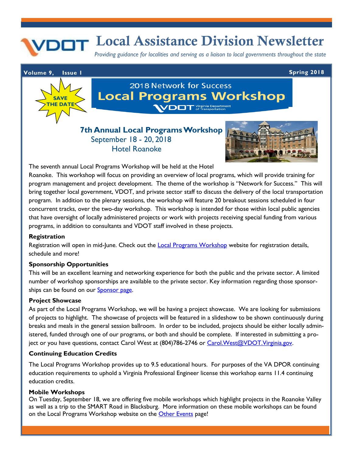# **Local Assistance Division Newsletter**

*Providing guidance for localities and serving as a liaison to local governments throughout the state*

### **Volume 9, Issue 1 Spring 2018**



# 2018 Network for Success **Local Programs Workshop** VDOT Virginia Department

# **7th Annual Local Programs Workshop** September 18 - 20, 2018 Hotel Roanoke



The seventh annual Local Programs Workshop will be held at the Hotel

Roanoke. This workshop will focus on providing an overview of local programs, which will provide training for program management and project development. The theme of the workshop is "Network for Success." This will bring together local government, VDOT, and private sector staff to discuss the delivery of the local transportation program. In addition to the plenary sessions, the workshop will feature 20 breakout sessions scheduled in four concurrent tracks, over the two-day workshop. This workshop is intended for those within local public agencies that have oversight of locally administered projects or work with projects receiving special funding from various programs, in addition to consultants and VDOT staff involved in these projects.

#### **Registration**

Registration will open in mid-June. Check out [th](http://www.cpe.vt.edu/lpw/registration.html)e [Local Programs Workshop](http://www.cpe.vt.edu/lpw/registration.html) website for registration details, schedule and more!

#### **Sponsorship Opportunities**

This will be an excellent learning and networking experience for both the public and the private sector. A limited number of workshop sponsorships are available to the private sector. Key information regarding those sponsorships can be found on our **Sponsor page**.

#### **Project Showcase**

As part of the Local Programs Workshop, we will be having a project showcase. We are looking for submissions of projects to highlight. The showcase of projects will be featured in a slideshow to be shown continuously during breaks and meals in the general session ballroom. In order to be included, projects should be either locally administered, funded through one of our programs, or both and should be complete. If interested in submitting a project or you have questions, contact Carol West at (804)786-2746 or Carol. West@VDOT. Virginia.gov.

#### **Continuing Education Credits**

The Local Programs Workshop provides up to 9.5 educational hours. For purposes of the VA DPOR continuing education requirements to uphold a Virginia Professional Engineer license this workshop earns 11.4 continuing education credits.

#### **Mobile Workshops**

On Tuesday, September 18, we are offering five mobile workshops which highlight projects in the Roanoke Valley as well as a trip to the SMART Road in Blacksburg. More information on these mobile workshops can be found on the Local Programs Workshop website on the [Other Events](http://www.cpe.vt.edu/lpw/events.html) page!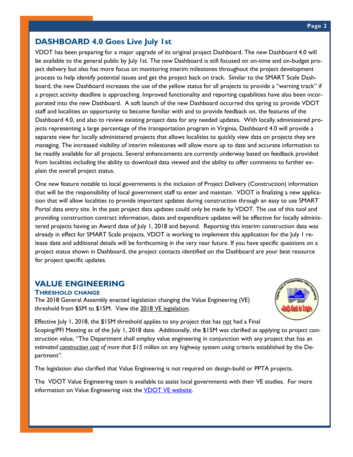### **DASHBOARD 4.0 Goes Live July 1st**

VDOT has been preparing for a major upgrade of its original project Dashboard. The new Dashboard 4.0 will be available to the general public by July 1st. The new Dashboard is still focused on on-time and on-budget project delivery but also has more focus on monitoring interim milestones throughout the project development process to help identify potential issues and get the project back on track. Similar to the SMART Scale Dashboard, the new Dashboard increases the use of the yellow status for all projects to provide a "warning track" if a project activity deadline is approaching. Improved functionality and reporting capabilities have also been incorporated into the new Dashboard. A soft launch of the new Dashboard occurred this spring to provide VDOT staff and localities an opportunity to become familiar with and to provide feedback on, the features of the Dashboard 4.0, and also to review existing project data for any needed updates. With locally administered projects representing a large percentage of the transportation program in Virginia, Dashboard 4.0 will provide a separate view for locally administered projects that allows localities to quickly view data on projects they are managing. The increased visibility of interim milestones will allow more up to date and accurate information to be readily available for all projects. Several enhancements are currently underway based on feedback provided from localities including the ability to download data viewed and the ability to offer comments to further explain the overall project status.

One new feature notable to local governments is the inclusion of Project Delivery (Construction) information that will be the responsibility of local government staff to enter and maintain. VDOT is finalizing a new application that will allow localities to provide important updates during construction through an easy to use SMART Portal data entry site. In the past project data updates could only be made by VDOT. The use of this tool and providing construction contract information, dates and expenditure updates will be effective for locally administered projects having an Award date of July 1, 2018 and beyond. Reporting this interim construction data was already in effect for SMART Scale projects. VDOT is working to implement this application for the July 1 release date and additional details will be forthcoming in the very near future. If you have specific questions on a project status shown in Dashboard, the project contacts identified on the Dashboard are your best resource for project specific updates.

# **VALUE ENGINEERING**

**THRESHOLD CHANGE**

The 2018 General Assembly enacted legislation changing the Value Engineering (VE) threshold from \$5M to \$15M. View the [2018 VE legislation.](https://lis.virginia.gov/cgi-bin/legp604.exe?181+sum+HB134) 



Effective July 1, 2018, the  $$15M$  threshold applies to any project that has not had a Final Scoping/PFI Meeting as of the July 1, 2018 date. Additionally, the \$15M was clarified as applying to project construction value, "The Department shall employ value engineering in conjunction with any project that has an *estimated construction cost of more that \$15 million* on any highway system using criteria established by the Department".

The legislation also clarified that Value Engineering is not required on design-build or PPTA projects.

The VDOT Value Engineering team is available to assist local governments with their VE studies. For more information on Value Engineering visit the [VDOT VE website.](http://www.virginiadot.org/projects/VE-default.asp)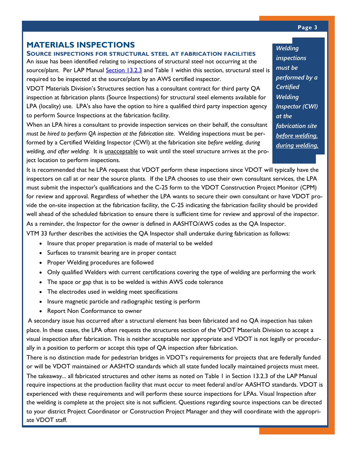# **MATERIALS INSPECTIONS**

**SOURCE INSPECTIONS FOR STRUCTURAL STEEL AT FABRICATION FACILITIES** An issue has been identified relating to inspections of structural steel not occurring at the source/plant. Per LAP Manual [Section 13.2.3](http://www.virginiadot.org/business/resources/local_assistance/LAD_LAP_manual_final/CH13_Project_Delivery-Dec-2017.pdf) and Table 1 within this section, structural steel is required to be inspected at the source/plant by an AWS certified inspector.

VDOT Materials Division's Structures section has a consultant contract for third party QA inspection at fabrication plants (Source Inspections) for structural steel elements available for LPA (locality) use. LPA's also have the option to hire a qualified third party inspection agency to perform Source Inspections at the fabrication facility.

When an LPA hires a consultant to provide inspection services on their behalf, the consultant *must be hired to perform QA inspection at the fabrication site*. Welding inspections must be performed by a Certified Welding Inspector (CWI) at the fabrication site *before welding, during welding, and after welding*. It is unacceptable to wait until the steel structure arrives at the project location to perform inspections.

It is recommended that he LPA request that VDOT perform these inspections since VDOT will typically have the inspectors on call at or near the source plants. If the LPA chooses to use their own consultant services, the LPA must submit the inspector's qualifications and the C-25 form to the VDOT Construction Project Monitor (CPM) for review and approval. Regardless of whether the LPA wants to secure their own consultant or have VDOT provide the on-site inspection at the fabrication facility, the C-25 indicating the fabrication facility should be provided well ahead of the scheduled fabrication to ensure there is sufficient time for review and approval of the inspector. As a reminder, the Inspector for the owner is defined in AASHTO/AWS codes as the QA Inspector.

VTM 33 further describes the activities the QA Inspector shall undertake during fabrication as follows:

- Insure that proper preparation is made of material to be welded
- Surfaces to transmit bearing are in proper contact
- Proper Welding procedures are followed
- Only qualified Welders with current certifications covering the type of welding are performing the work
- The space or gap that is to be welded is within AWS code tolerance
- The electrodes used in welding meet specifications
- Insure magnetic particle and radiographic testing is perform
- Report Non Conformance to owner

A secondary issue has occurred after a structural element has been fabricated and no QA inspection has taken place. In these cases, the LPA often requests the structures section of the VDOT Materials Division to accept a visual inspection after fabrication. This is neither acceptable nor appropriate and VDOT is not legally or procedurally in a position to perform or accept this type of QA inspection after fabrication.

There is no distinction made for pedestrian bridges in VDOT's requirements for projects that are federally funded or will be VDOT maintained or AASHTO standards which all state funded locally maintained projects must meet. The takeaway... all fabricated structures and other items as noted on Table 1 in Section 13.2.3 of the LAP Manual require inspections at the production facility that must occur to meet federal and/or AASHTO standards. VDOT is experienced with these requirements and will perform these source inspections for LPAs. Visual Inspection after the welding is complete at the project site is not sufficient. Questions regarding source inspections can be directed to your district Project Coordinator or Construction Project Manager and they will coordinate with the appropriate VDOT staff.

*Welding inspections must be performed by a Certified Welding Inspector (CWI) at the fabrication site before welding, during welding,*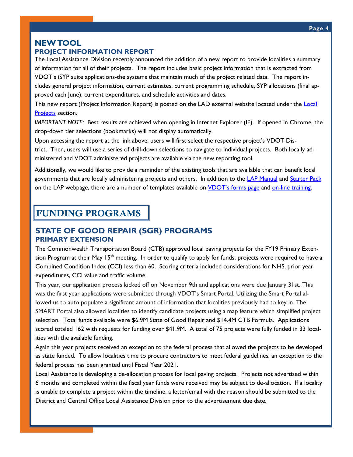### **NEW TOOL**

### **PROJECT INFORMATION REPORT**

The Local Assistance Division recently announced the addition of a new report to provide localities a summary of information for all of their projects. The report includes basic project information that is extracted from VDOT's iSYP suite applications-the systems that maintain much of the project related data. The report includes general project information, current estimates, current programming schedule, SYP allocations (final approved each June), current expenditures, and schedule activities and dates.

This new report (Project Information Report) is posted on the LAD external website located under the Local [Projects](http://www.virginiadot.org/business/local-assistance-locallyAdministered.asp) section.

*IMPORTANT NOTE:* Best results are achieved when opening in Internet Explorer (IE). If opened in Chrome, the drop-down tier selections (bookmarks) will not display automatically.

Upon accessing the report at the link above, users will first select the respective project's VDOT District. Then, users will use a series of drill-down selections to navigate to individual projects. Both locally administered and VDOT administered projects are available via the new reporting tool.

Additionally, we would like to provide a reminder of the existing tools that are available that can benefit local governments that are locally administering projects and others. In addition to the [LAP Manual](http://www.virginiadot.org/business/locally_administered_projects_manual.asp) and [Starter Pack](http://www.virginiadot.org/business/locally_administered_projects_manual.asp) on the LAP webpage, there are a number of templates available on *[VDOT's forms page](http://vdotforms.vdot.virginia.gov/SearchResults.aspx?lngDivisionID=37) and on-line training*.

# **FUNDING PROGRAMS**

### **STATE OF GOOD REPAIR (SGR) PROGRAMS PRIMARY EXTENSION**

The Commonwealth Transportation Board (CTB) approved local paving projects for the FY19 Primary Extension Program at their May 15<sup>th</sup> meeting. In order to qualify to apply for funds, projects were required to have a Combined Condition Index (CCI) less than 60. Scoring criteria included considerations for NHS, prior year expenditures, CCI value and traffic volume.

This year, our application process kicked off on November 9th and applications were due January 31st. This was the first year applications were submitted through VDOT's Smart Portal. Utilizing the Smart Portal allowed us to auto populate a significant amount of information that localities previously had to key in. The SMART Portal also allowed localities to identify candidate projects using a map feature which simplified project selection. Total funds available were \$6.9M State of Good Repair and \$14.4M CTB Formula. Applications scored totaled 162 with requests for funding over \$41.9M. A total of 75 projects were fully funded in 33 localities with the available funding.

Again this year projects received an exception to the federal process that allowed the projects to be developed as state funded. To allow localities time to procure contractors to meet federal guidelines, an exception to the federal process has been granted until Fiscal Year 2021.

Local Assistance is developing a de-allocation process for local paving projects. Projects not advertised within 6 months and completed within the fiscal year funds were received may be subject to de-allocation. If a locality is unable to complete a project within the timeline, a letter/email with the reason should be submitted to the District and Central Office Local Assistance Division prior to the advertisement due date.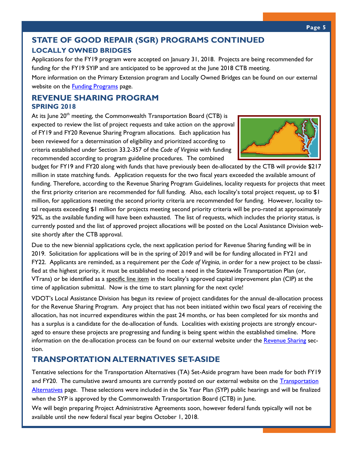# **STATE OF GOOD REPAIR (SGR) PROGRAMS CONTINUED LOCALLY OWNED BRIDGES**

Applications for the FY19 program were accepted on January 31, 2018. Projects are being recommended for funding for the FY19 SYIP and are anticipated to be approved at the June 2018 CTB meeting.

More information on the Primary Extension program and Locally Owned Bridges can be found on our external website on the **[Funding Programs](http://www.virginiadot.org/business/local_assistance_division_funding_programs.asp)** page.

### **REVENUE SHARING PROGRAM SPRING 2018**

At its June  $20<sup>th</sup>$  meeting, the Commonwealth Transportation Board (CTB) is expected to review the list of project requests and take action on the approval of FY19 and FY20 Revenue Sharing Program allocations. Each application has been reviewed for a determination of eligibility and prioritized according to criteria established under Section 33.2-357 of the *Code of Virginia* with funding recommended according to program guideline procedures. The combined



budget for FY19 and FY20 along with funds that have previously been de-allocated by the CTB will provide \$217 million in state matching funds. Application requests for the two fiscal years exceeded the available amount of funding. Therefore, according to the Revenue Sharing Program Guidelines, locality requests for projects that meet the first priority criterion are recommended for full funding. Also, each locality's total project request, up to \$1 million, for applications meeting the second priority criteria are recommended for funding. However, locality total requests exceeding \$1 million for projects meeting second priority criteria will be pro-rated at approximately 92%, as the available funding will have been exhausted. The list of requests, which includes the priority status, is currently posted and the list of approved project allocations will be posted on the Local Assistance Division website shortly after the CTB approval.

Due to the new biennial applications cycle, the next application period for Revenue Sharing funding will be in 2019. Solicitation for applications will be in the spring of 2019 and will be for funding allocated in FY21 and FY22. Applicants are reminded, as a requirement per the *Code of Virginia*, in order for a new project to be classified at the highest priority, it must be established to meet a need in the Statewide Transportation Plan (or, VTrans) or be identified as a specific line item in the locality's approved capital improvement plan (CIP) at the time of application submittal. Now is the time to start planning for the next cycle!

VDOT's Local Assistance Division has begun its review of project candidates for the annual de-allocation process for the Revenue Sharing Program. Any project that has not been initiated within two fiscal years of receiving the allocation, has not incurred expenditures within the past 24 months, or has been completed for six months and has a surplus is a candidate for the de-allocation of funds. Localities with existing projects are strongly encouraged to ensure these projects are progressing and funding is being spent within the established timeline. More information on the de-allocation process can be found on our external website under the [Revenue Sharing](http://www.virginiadot.org/business/local-assistance-access-programs.asp) section.

# **TRANSPORTATION ALTERNATIVES SET-ASIDE**

Tentative selections for the Transportation Alternatives (TA) Set-Aside program have been made for both FY19 and FY20. The cumulative award amounts are currently posted on our external [website](http://www.virginiadot.org/business/prenhancegrants.asp) on the Transportation [Alternatives](http://www.virginiadot.org/business/prenhancegrants.asp) page. These selections were included in the Six Year Plan (SYP) public hearings and will be finalized when the SYP is approved by the Commonwealth Transportation Board (CTB) in June.

We will begin preparing Project Administrative Agreements soon, however federal funds typically will not be available until the new federal fiscal year begins October 1, 2018.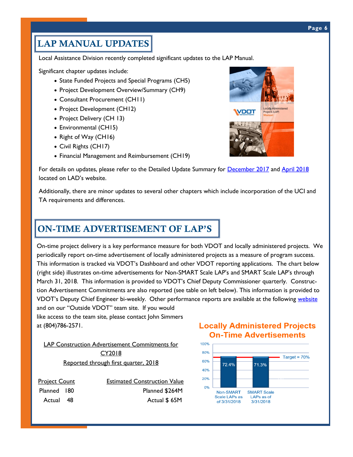#### **Page 6**

# **LAP MANUAL UPDATES**

Local Assistance Division recently completed significant updates to the LAP Manual.

Significant chapter updates include:

- State Funded Projects and Special Programs (CH5)
- Project Development Overview/Summary (CH9)
- Consultant Procurement (CH11)
- Project Development (CH12)
- Project Delivery (CH 13)
- Environmental (CH15)
- Right of Way (CH16)
- Civil Rights (CH17)
- Financial Management and Reimbursement (CH19)



For details on updates, please refer to the Detailed Update Summary for [December 2017](http://www.virginiadot.org/business/resources/local_assistance/LAD_LAP_manual_final/December_2017_Update_Summary.docx) and [April 2018](http://www.virginiadot.org/business/resources/local_assistance/LAD_LAP_manual_final/February_2018_update_summary.pdf) located on LAD's website.

Additionally, there are minor updates to several other chapters which include incorporation of the UCI and TA requirements and differences.

# **ON-TIME ADVERTISEMENT OF LAP'S**

On-time project delivery is a key performance measure for both VDOT and locally administered projects. We periodically report on-time advertisement of locally administered projects as a measure of program success. This information is tracked via VDOT's Dashboard and other VDOT reporting applications. The chart below (right side) illustrates on-time advertisements for Non-SMART Scale LAP's and SMART Scale LAP's through March 31, 2018. This information is provided to VDOT's Chief Deputy Commissioner quarterly. Construction Advertisement Commitments are also reported (see table on left below). This information is provided to VDOT's Deputy Chief Engineer bi-weekly. Other performance reports are available at the following [website](http://www.virginiadot.org/business/locally_administered_project_construction_advertisement_commitments.asp) and on our "Outside VDOT" team site. If you would

like access to the team site, please contact John Simmers at (804)786-2571.

LAP Construction Advertisement Commitments for CY2018 Reported through first quarter, 2018

Project Count **Estimated Construction Value** Planned 180 Planned \$264M Actual 48 Actual  $\frac{48}{100}$  Actual \$65M

### **Locally Administered Projects On-Time Advertisements**